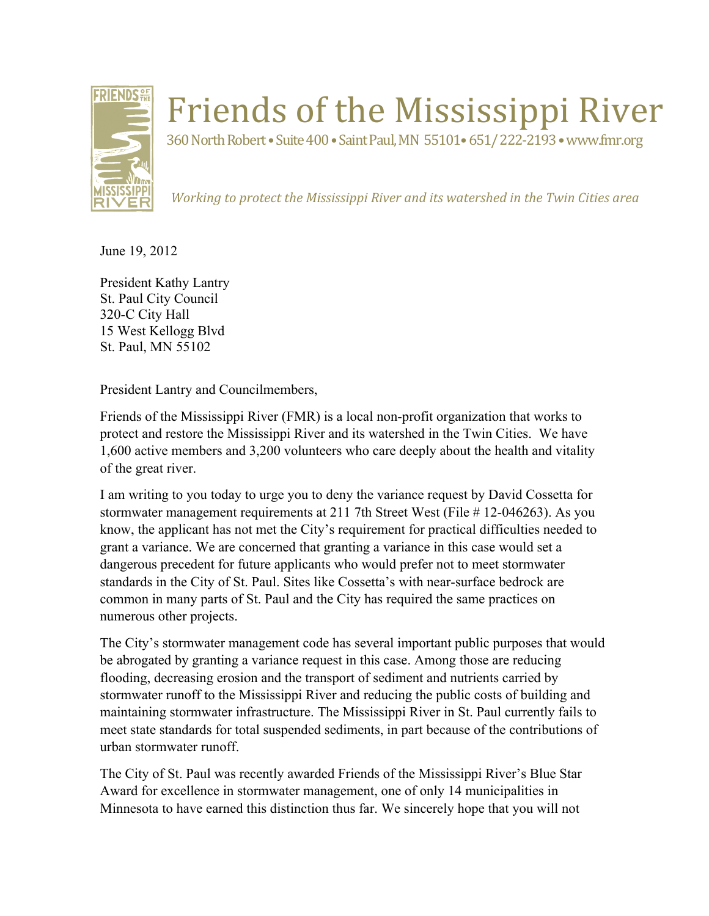

## Friends of the Mississippi River

360 North Robert • Suite 400 • Saint Paul, MN 55101• 651/222-2193 • www.fmr.org

*Working to protect the Mississippi River and its watershed in the Twin Cities area* 

June 19, 2012

President Kathy Lantry St. Paul City Council 320-C City Hall 15 West Kellogg Blvd St. Paul, MN 55102

President Lantry and Councilmembers,

Friends of the Mississippi River (FMR) is a local non-profit organization that works to protect and restore the Mississippi River and its watershed in the Twin Cities. We have 1,600 active members and 3,200 volunteers who care deeply about the health and vitality of the great river.

I am writing to you today to urge you to deny the variance request by David Cossetta for stormwater management requirements at 211 7th Street West (File # 12-046263). As you know, the applicant has not met the City's requirement for practical difficulties needed to grant a variance. We are concerned that granting a variance in this case would set a dangerous precedent for future applicants who would prefer not to meet stormwater standards in the City of St. Paul. Sites like Cossetta's with near-surface bedrock are common in many parts of St. Paul and the City has required the same practices on numerous other projects.

The City's stormwater management code has several important public purposes that would be abrogated by granting a variance request in this case. Among those are reducing flooding, decreasing erosion and the transport of sediment and nutrients carried by stormwater runoff to the Mississippi River and reducing the public costs of building and maintaining stormwater infrastructure. The Mississippi River in St. Paul currently fails to meet state standards for total suspended sediments, in part because of the contributions of urban stormwater runoff.

The City of St. Paul was recently awarded Friends of the Mississippi River's Blue Star Award for excellence in stormwater management, one of only 14 municipalities in Minnesota to have earned this distinction thus far. We sincerely hope that you will not